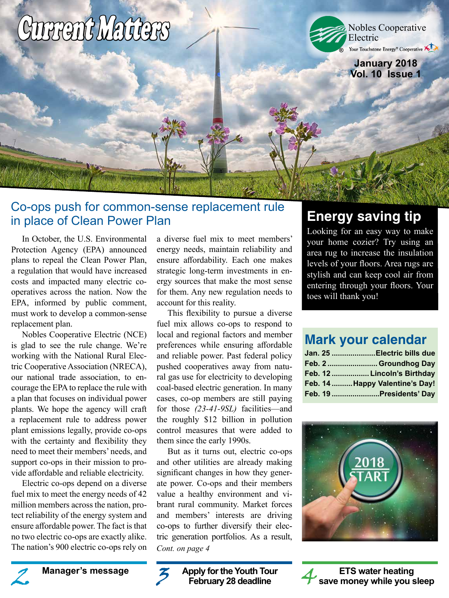# Current Matters

Nobles Cooperative Electric<br>Your Touchstone Energy® Cooperative **®**

> **January 2018 Vol. 10 Issue 1**

# Co-ops push for common-sense replacement rule in place of Clean Power Plan

In October, the U.S. Environmental Protection Agency (EPA) announced plans to repeal the Clean Power Plan, a regulation that would have increased costs and impacted many electric cooperatives across the nation. Now the EPA, informed by public comment, must work to develop a common-sense replacement plan.

Nobles Cooperative Electric (NCE) is glad to see the rule change. We're working with the National Rural Electric Cooperative Association (NRECA), our national trade association, to encourage the EPA to replace the rule with a plan that focuses on individual power plants. We hope the agency will craft a replacement rule to address power plant emissions legally, provide co-ops with the certainty and flexibility they need to meet their members' needs, and support co-ops in their mission to provide affordable and reliable electricity.

Electric co-ops depend on a diverse fuel mix to meet the energy needs of 42 million members across the nation, protect reliability of the energy system and ensure affordable power. The fact is that no two electric co-ops are exactly alike. The nation's 900 electric co-ops rely on a diverse fuel mix to meet members' energy needs, maintain reliability and ensure affordability. Each one makes strategic long-term investments in energy sources that make the most sense for them. Any new regulation needs to account for this reality.

This flexibility to pursue a diverse fuel mix allows co-ops to respond to local and regional factors and member preferences while ensuring affordable and reliable power. Past federal policy pushed cooperatives away from natural gas use for electricity to developing coal-based electric generation. In many cases, co-op members are still paying for those *(23-41-9SL)* facilities—and the roughly \$12 billion in pollution control measures that were added to them since the early 1990s.

But as it turns out, electric co-ops and other utilities are already making significant changes in how they generate power. Co-ops and their members value a healthy environment and vibrant rural community. Market forces and members' interests are driving co-ops to further diversify their electric generation portfolios. As a result, *Cont. on page 4*

# **Energy saving tip**

Looking for an easy way to make your home cozier? Try using an area rug to increase the insulation levels of your floors. Area rugs are stylish and can keep cool air from entering through your floors. Your toes will thank you!

# **Mark your calendar**

|  | Jan. 25 Electric bills due     |
|--|--------------------------------|
|  | Feb. 2  Groundhog Day          |
|  | Feb. 12  Lincoln's Birthday    |
|  | Feb. 14 Happy Valentine's Day! |
|  | Feb. 19 Presidents' Day        |







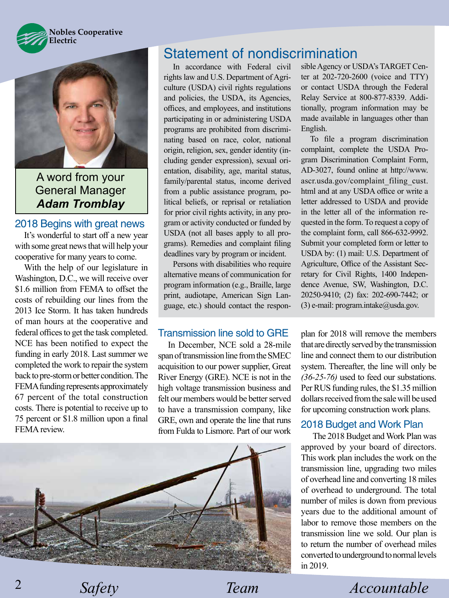



A word from your General Manager *Adam Tromblay*

## 2018 Begins with great news

It's wonderful to start off a new year with some great news that will help your cooperative for many years to come.

With the help of our legislature in Washington, D.C., we will receive over \$1.6 million from FEMA to offset the costs of rebuilding our lines from the 2013 Ice Storm. It has taken hundreds of man hours at the cooperative and federal offices to get the task completed. NCE has been notified to expect the funding in early 2018. Last summer we completed the work to repair the system back to pre-storm or better condition. The FEMA funding represents approximately 67 percent of the total construction costs. There is potential to receive up to 75 percent or \$1.8 million upon a final FEMA review.

# Statement of nondiscrimination

In accordance with Federal civil rights law and U.S. Department of Agriculture (USDA) civil rights regulations and policies, the USDA, its Agencies, offices, and employees, and institutions participating in or administering USDA programs are prohibited from discriminating based on race, color, national origin, religion, sex, gender identity (including gender expression), sexual orientation, disability, age, marital status, family/parental status, income derived from a public assistance program, political beliefs, or reprisal or retaliation for prior civil rights activity, in any program or activity conducted or funded by USDA (not all bases apply to all programs). Remedies and complaint filing deadlines vary by program or incident.

Persons with disabilities who require alternative means of communication for program information (e.g., Braille, large print, audiotape, American Sign Language, etc.) should contact the respon-

#### Transmission line sold to GRE

In December, NCE sold a 28-mile span of transmission line from the SMEC acquisition to our power supplier, Great River Energy (GRE). NCE is not in the high voltage transmission business and felt our members would be better served to have a transmission company, like GRE, own and operate the line that runs from Fulda to Lismore. Part of our work



sible Agency or USDA's TARGET Center at 202-720-2600 (voice and TTY) or contact USDA through the Federal Relay Service at 800-877-8339. Additionally, program information may be made available in languages other than English.

To file a program discrimination complaint, complete the USDA Program Discrimination Complaint Form, AD-3027, found online at http://www. ascr.usda.gov/complaint\_filing\_cust. html and at any USDA office or write a letter addressed to USDA and provide in the letter all of the information requested in the form. To request a copy of the complaint form, call 866-632-9992. Submit your completed form or letter to USDA by: (1) mail: U.S. Department of Agriculture, Office of the Assistant Secretary for Civil Rights, 1400 Independence Avenue, SW, Washington, D.C. 20250-9410; (2) fax: 202-690-7442; or (3) e-mail: program.intake@usda.gov.

plan for 2018 will remove the members that are directly served by the transmission line and connect them to our distribution system. Thereafter, the line will only be *(36-25-76)* used to feed our substations. Per RUS funding rules, the \$1.35 million dollars received from the sale will be used for upcoming construction work plans.

#### 2018 Budget and Work Plan

The 2018 Budget and Work Plan was approved by your board of directors. This work plan includes the work on the transmission line, upgrading two miles of overhead line and converting 18 miles of overhead to underground. The total number of miles is down from previous years due to the additional amount of labor to remove those members on the transmission line we sold. Our plan is to return the number of overhead miles converted to underground to normal levels in 2019.

*Safety Team Accountable*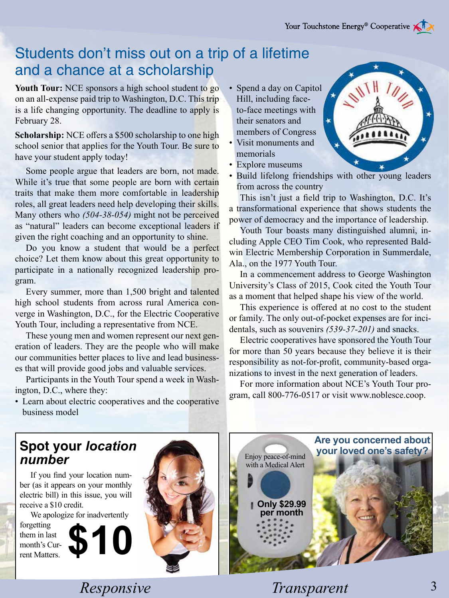# Students don't miss out on a trip of a lifetime and a chance at a scholarship

Youth Tour: NCE sponsors a high school student to go on an all-expense paid trip to Washington, D.C. This trip is a life changing opportunity. The deadline to apply is February 28.

**Scholarship:** NCE offers a \$500 scholarship to one high school senior that applies for the Youth Tour. Be sure to have your student apply today!

Some people argue that leaders are born, not made. While it's true that some people are born with certain traits that make them more comfortable in leadership roles, all great leaders need help developing their skills. Many others who *(504-38-054)* might not be perceived as "natural" leaders can become exceptional leaders if given the right coaching and an opportunity to shine.

Do you know a student that would be a perfect choice? Let them know about this great opportunity to participate in a nationally recognized leadership program.

Every summer, more than 1,500 bright and talented high school students from across rural America converge in Washington, D.C., for the Electric Cooperative Youth Tour, including a representative from NCE.

These young men and women represent our next generation of leaders. They are the people who will make our communities better places to live and lead businesses that will provide good jobs and valuable services.

Participants in the Youth Tour spend a week in Washington, D.C., where they:

- Spend a day on Capitol Hill, including faceto-face meetings with their senators and members of Congress
- Visit monuments and memorials
- Explore museums
- Build lifelong friendships with other young leaders from across the country

This isn't just a field trip to Washington, D.C. It's a transformational experience that shows students the power of democracy and the importance of leadership.

Youth Tour boasts many distinguished alumni, including Apple CEO Tim Cook, who represented Baldwin Electric Membership Corporation in Summerdale, Ala., on the 1977 Youth Tour.

In a commencement address to George Washington University's Class of 2015, Cook cited the Youth Tour as a moment that helped shape his view of the world.

This experience is offered at no cost to the student or family. The only out-of-pocket expenses are for incidentals, such as souvenirs *(539-37-201)* and snacks.

Electric cooperatives have sponsored the Youth Tour for more than 50 years because they believe it is their responsibility as not-for-profit, community-based organizations to invest in the next generation of leaders.

For more information about NCE's Youth Tour program, call 800-776-0517 or visit www.noblesce.coop.

• Learn about electric cooperatives and the cooperative business model

**\$10**

# **Spot your** *location number*

If you find your location number (as it appears on your monthly electric bill) in this issue, you will receive a \$10 credit.

We apologize for inadvertently

forgetting them in last month's Current Matters.



Enjoy peace-of-mind with a Medical Alert **Only \$29.99 Are you concerned about your loved one's safety?**

*Responsive* Transparent

**per month**